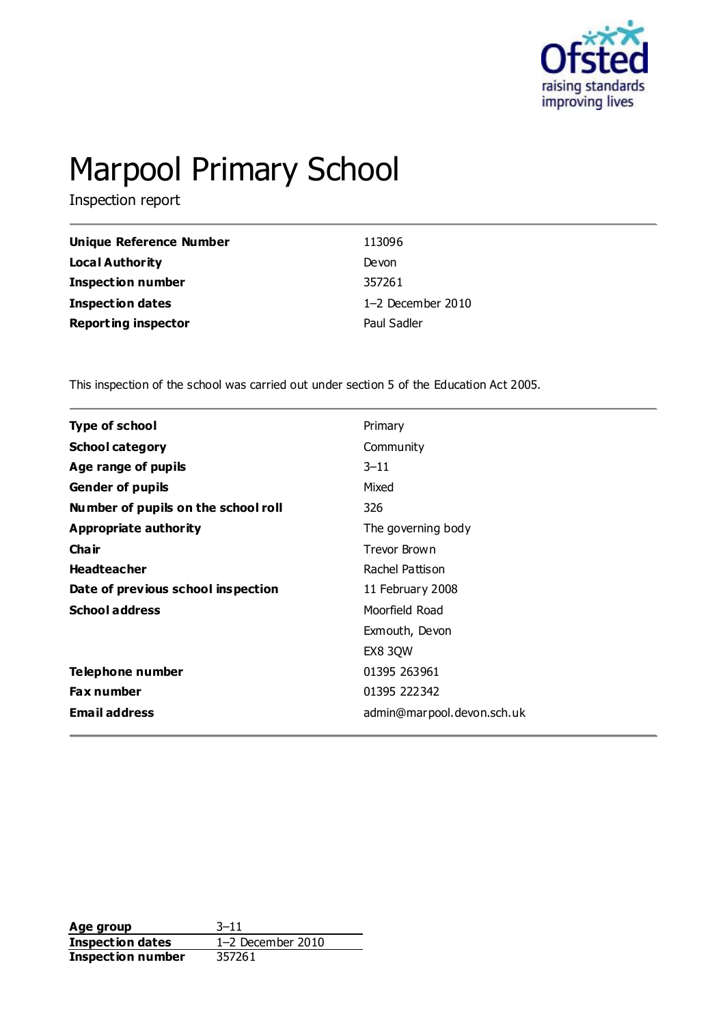

# Marpool Primary School

Inspection report

| Unique Reference Number    | 113096              |
|----------------------------|---------------------|
| Local Authority            | Devon               |
| <b>Inspection number</b>   | 357261              |
| <b>Inspection dates</b>    | $1-2$ December 2010 |
| <b>Reporting inspector</b> | Paul Sadler         |

This inspection of the school was carried out under section 5 of the Education Act 2005.

| <b>Type of school</b>               | Primary                    |
|-------------------------------------|----------------------------|
| <b>School category</b>              | Community                  |
| Age range of pupils                 | $3 - 11$                   |
| <b>Gender of pupils</b>             | Mixed                      |
| Number of pupils on the school roll | 326                        |
| <b>Appropriate authority</b>        | The governing body         |
| Cha ir                              | Trevor Brown               |
| <b>Headteacher</b>                  | Rachel Pattison            |
| Date of previous school inspection  | 11 February 2008           |
| <b>School address</b>               | Moorfield Road             |
|                                     | Exmouth, Devon             |
|                                     | EX8 3QW                    |
| Telephone number                    | 01395 263961               |
| <b>Fax number</b>                   | 01395 222342               |
| <b>Email address</b>                | admin@marpool.devon.sch.uk |
|                                     |                            |

**Age group** 3-11<br> **Inspection dates** 1-2 December 2010 **Inspection dates Inspection number** 357261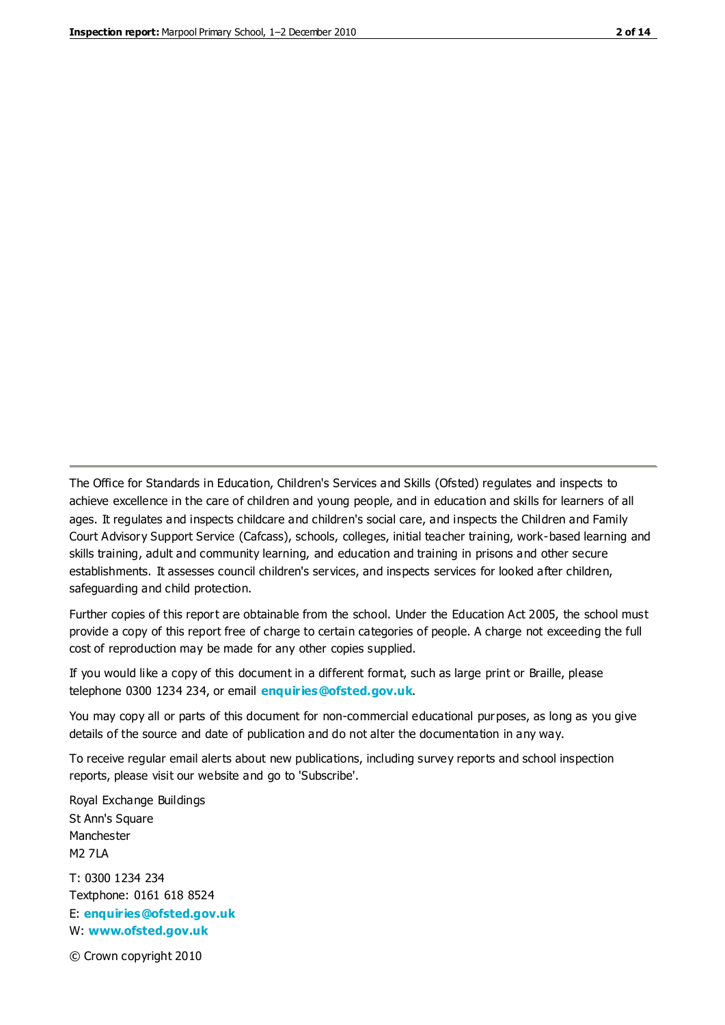The Office for Standards in Education, Children's Services and Skills (Ofsted) regulates and inspects to achieve excellence in the care of children and young people, and in education and skills for learners of all ages. It regulates and inspects childcare and children's social care, and inspects the Children and Family Court Advisory Support Service (Cafcass), schools, colleges, initial teacher training, work-based learning and skills training, adult and community learning, and education and training in prisons and other secure establishments. It assesses council children's services, and inspects services for looked after children, safeguarding and child protection.

Further copies of this report are obtainable from the school. Under the Education Act 2005, the school must provide a copy of this report free of charge to certain categories of people. A charge not exceeding the full cost of reproduction may be made for any other copies supplied.

If you would like a copy of this document in a different format, such as large print or Braille, please telephone 0300 1234 234, or email **[enquiries@ofsted.gov.uk](mailto:enquiries@ofsted.gov.uk)**.

You may copy all or parts of this document for non-commercial educational purposes, as long as you give details of the source and date of publication and do not alter the documentation in any way.

To receive regular email alerts about new publications, including survey reports and school inspection reports, please visit our website and go to 'Subscribe'.

Royal Exchange Buildings St Ann's Square Manchester M2 7LA T: 0300 1234 234 Textphone: 0161 618 8524 E: **[enquiries@ofsted.gov.uk](mailto:enquiries@ofsted.gov.uk)**

W: **[www.ofsted.gov.uk](http://www.ofsted.gov.uk/)**

© Crown copyright 2010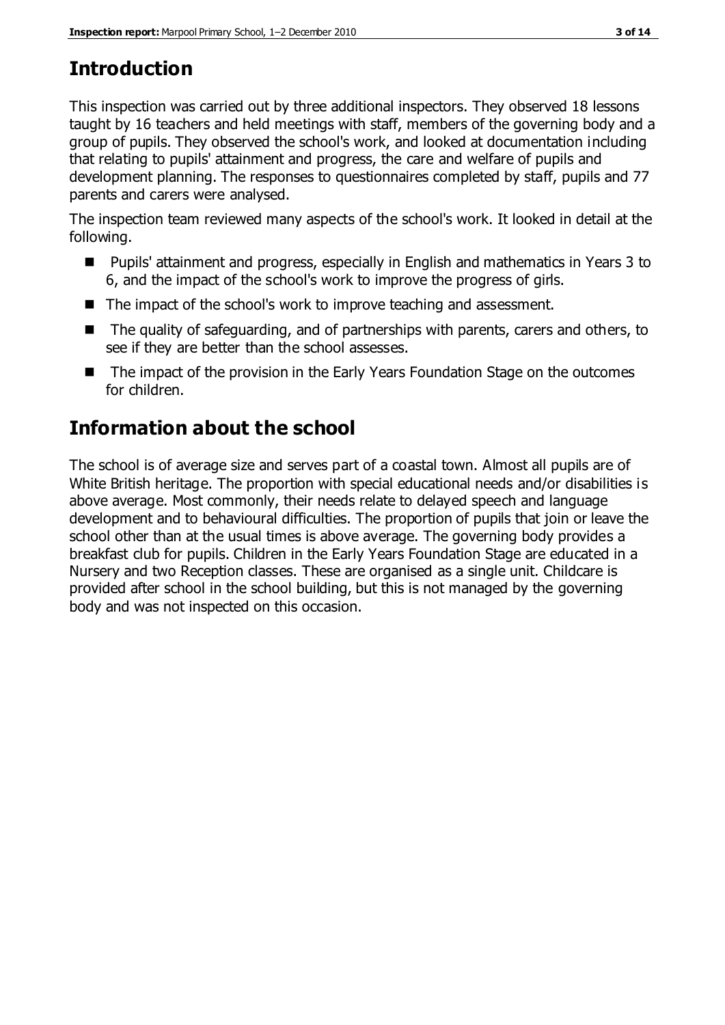# **Introduction**

This inspection was carried out by three additional inspectors. They observed 18 lessons taught by 16 teachers and held meetings with staff, members of the governing body and a group of pupils. They observed the school's work, and looked at documentation including that relating to pupils' attainment and progress, the care and welfare of pupils and development planning. The responses to questionnaires completed by staff, pupils and 77 parents and carers were analysed.

The inspection team reviewed many aspects of the school's work. It looked in detail at the following.

- Pupils' attainment and progress, especially in English and mathematics in Years 3 to 6, and the impact of the school's work to improve the progress of girls.
- The impact of the school's work to improve teaching and assessment.
- The quality of safequarding, and of partnerships with parents, carers and others, to see if they are better than the school assesses.
- The impact of the provision in the Early Years Foundation Stage on the outcomes for children.

# **Information about the school**

The school is of average size and serves part of a coastal town. Almost all pupils are of White British heritage. The proportion with special educational needs and/or disabilities is above average. Most commonly, their needs relate to delayed speech and language development and to behavioural difficulties. The proportion of pupils that join or leave the school other than at the usual times is above average. The governing body provides a breakfast club for pupils. Children in the Early Years Foundation Stage are educated in a Nursery and two Reception classes. These are organised as a single unit. Childcare is provided after school in the school building, but this is not managed by the governing body and was not inspected on this occasion.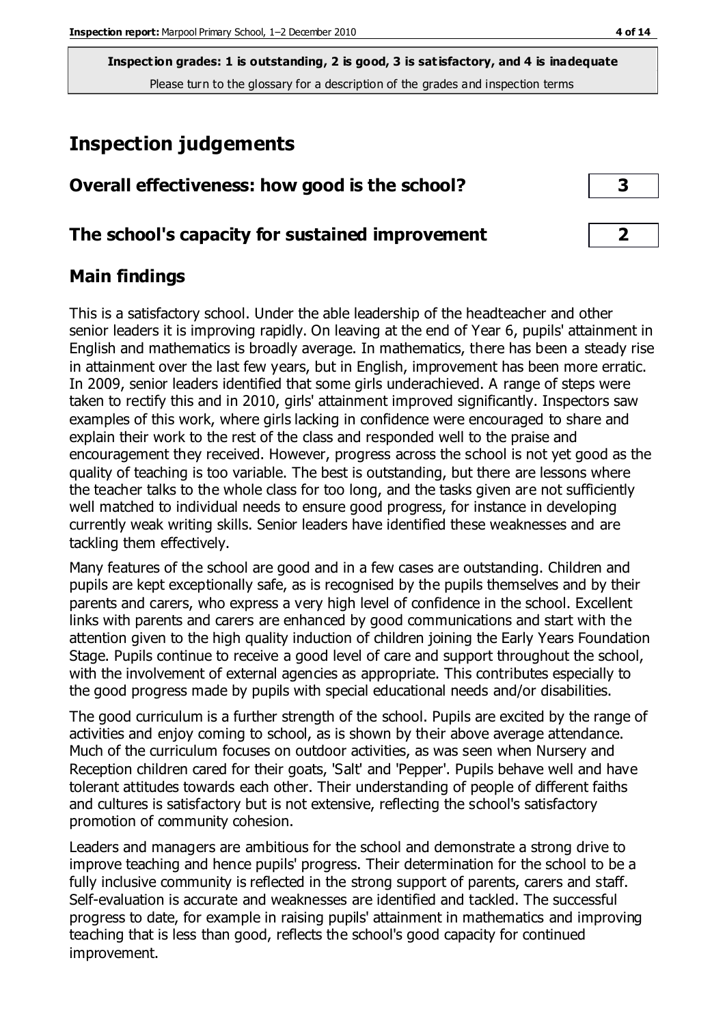# **Inspection judgements**

| Overall effectiveness: how good is the school? |  |
|------------------------------------------------|--|
|------------------------------------------------|--|

#### **The school's capacity for sustained improvement 2**

#### **Main findings**

This is a satisfactory school. Under the able leadership of the headteacher and other senior leaders it is improving rapidly. On leaving at the end of Year 6, pupils' attainment in English and mathematics is broadly average. In mathematics, there has been a steady rise in attainment over the last few years, but in English, improvement has been more erratic. In 2009, senior leaders identified that some girls underachieved. A range of steps were taken to rectify this and in 2010, girls' attainment improved significantly. Inspectors saw examples of this work, where girls lacking in confidence were encouraged to share and explain their work to the rest of the class and responded well to the praise and encouragement they received. However, progress across the school is not yet good as the quality of teaching is too variable. The best is outstanding, but there are lessons where the teacher talks to the whole class for too long, and the tasks given are not sufficiently well matched to individual needs to ensure good progress, for instance in developing currently weak writing skills. Senior leaders have identified these weaknesses and are tackling them effectively.

Many features of the school are good and in a few cases are outstanding. Children and pupils are kept exceptionally safe, as is recognised by the pupils themselves and by their parents and carers, who express a very high level of confidence in the school. Excellent links with parents and carers are enhanced by good communications and start with the attention given to the high quality induction of children joining the Early Years Foundation Stage. Pupils continue to receive a good level of care and support throughout the school, with the involvement of external agencies as appropriate. This contributes especially to the good progress made by pupils with special educational needs and/or disabilities.

The good curriculum is a further strength of the school. Pupils are excited by the range of activities and enjoy coming to school, as is shown by their above average attendance. Much of the curriculum focuses on outdoor activities, as was seen when Nursery and Reception children cared for their goats, 'Salt' and 'Pepper'. Pupils behave well and have tolerant attitudes towards each other. Their understanding of people of different faiths and cultures is satisfactory but is not extensive, reflecting the school's satisfactory promotion of community cohesion.

Leaders and managers are ambitious for the school and demonstrate a strong drive to improve teaching and hence pupils' progress. Their determination for the school to be a fully inclusive community is reflected in the strong support of parents, carers and staff. Self-evaluation is accurate and weaknesses are identified and tackled. The successful progress to date, for example in raising pupils' attainment in mathematics and improving teaching that is less than good, reflects the school's good capacity for continued improvement.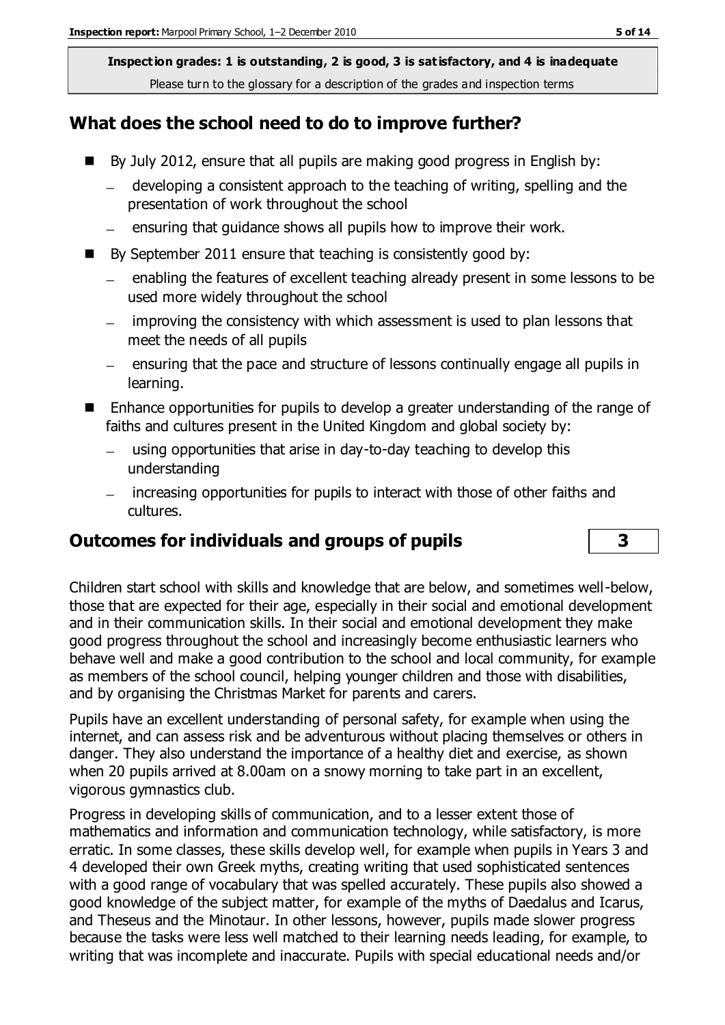## **What does the school need to do to improve further?**

- By July 2012, ensure that all pupils are making good progress in English by:
	- developing a consistent approach to the teaching of writing, spelling and the presentation of work throughout the school
	- ensuring that guidance shows all pupils how to improve their work.
- $\blacksquare$  By September 2011 ensure that teaching is consistently good by:
	- enabling the features of excellent teaching already present in some lessons to be used more widely throughout the school
	- improving the consistency with which assessment is used to plan lessons that meet the needs of all pupils
	- ensuring that the pace and structure of lessons continually engage all pupils in learning.
- Enhance opportunities for pupils to develop a greater understanding of the range of faiths and cultures present in the United Kingdom and global society by:
	- using opportunities that arise in day-to-day teaching to develop this understanding
	- increasing opportunities for pupils to interact with those of other faiths and cultures.

## **Outcomes for individuals and groups of pupils 3**

Children start school with skills and knowledge that are below, and sometimes well-below, those that are expected for their age, especially in their social and emotional development and in their communication skills. In their social and emotional development they make good progress throughout the school and increasingly become enthusiastic learners who behave well and make a good contribution to the school and local community, for example as members of the school council, helping younger children and those with disabilities, and by organising the Christmas Market for parents and carers.

Pupils have an excellent understanding of personal safety, for example when using the internet, and can assess risk and be adventurous without placing themselves or others in danger. They also understand the importance of a healthy diet and exercise, as shown when 20 pupils arrived at 8.00am on a snowy morning to take part in an excellent, vigorous gymnastics club.

Progress in developing skills of communication, and to a lesser extent those of mathematics and information and communication technology, while satisfactory, is more erratic. In some classes, these skills develop well, for example when pupils in Years 3 and 4 developed their own Greek myths, creating writing that used sophisticated sentences with a good range of vocabulary that was spelled accurately. These pupils also showed a good knowledge of the subject matter, for example of the myths of Daedalus and Icarus, and Theseus and the Minotaur. In other lessons, however, pupils made slower progress because the tasks were less well matched to their learning needs leading, for example, to writing that was incomplete and inaccurate. Pupils with special educational needs and/or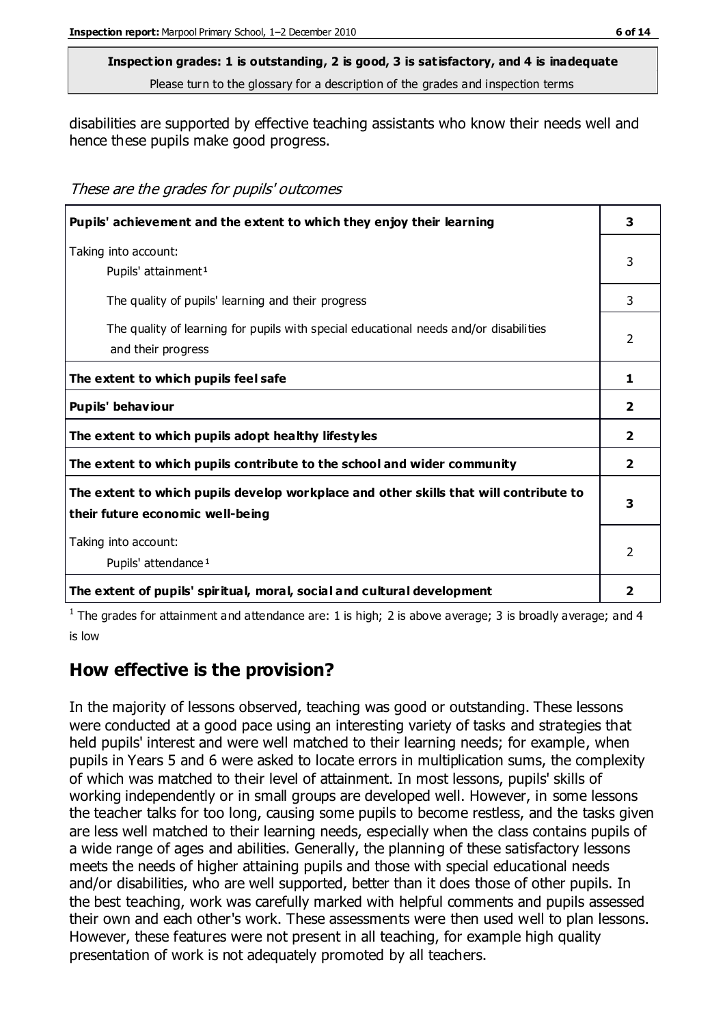disabilities are supported by effective teaching assistants who know their needs well and hence these pupils make good progress.

These are the grades for pupils' outcomes

| Pupils' achievement and the extent to which they enjoy their learning                                                     | 3              |
|---------------------------------------------------------------------------------------------------------------------------|----------------|
| Taking into account:<br>Pupils' attainment <sup>1</sup>                                                                   | 3              |
| The quality of pupils' learning and their progress                                                                        | 3              |
| The quality of learning for pupils with special educational needs and/or disabilities<br>and their progress               | $\mathcal{P}$  |
| The extent to which pupils feel safe                                                                                      | 1              |
| Pupils' behaviour                                                                                                         | $\mathbf{2}$   |
| The extent to which pupils adopt healthy lifestyles                                                                       | $\overline{2}$ |
| The extent to which pupils contribute to the school and wider community                                                   | $\overline{2}$ |
| The extent to which pupils develop workplace and other skills that will contribute to<br>their future economic well-being | 3              |
| Taking into account:<br>Pupils' attendance <sup>1</sup>                                                                   |                |
| The extent of pupils' spiritual, moral, social and cultural development                                                   | 2              |

<sup>1</sup> The grades for attainment and attendance are: 1 is high; 2 is above average; 3 is broadly average; and 4 is low

## **How effective is the provision?**

In the majority of lessons observed, teaching was good or outstanding. These lessons were conducted at a good pace using an interesting variety of tasks and strategies that held pupils' interest and were well matched to their learning needs; for example, when pupils in Years 5 and 6 were asked to locate errors in multiplication sums, the complexity of which was matched to their level of attainment. In most lessons, pupils' skills of working independently or in small groups are developed well. However, in some lessons the teacher talks for too long, causing some pupils to become restless, and the tasks given are less well matched to their learning needs, especially when the class contains pupils of a wide range of ages and abilities. Generally, the planning of these satisfactory lessons meets the needs of higher attaining pupils and those with special educational needs and/or disabilities, who are well supported, better than it does those of other pupils. In the best teaching, work was carefully marked with helpful comments and pupils assessed their own and each other's work. These assessments were then used well to plan lessons. However, these features were not present in all teaching, for example high quality presentation of work is not adequately promoted by all teachers.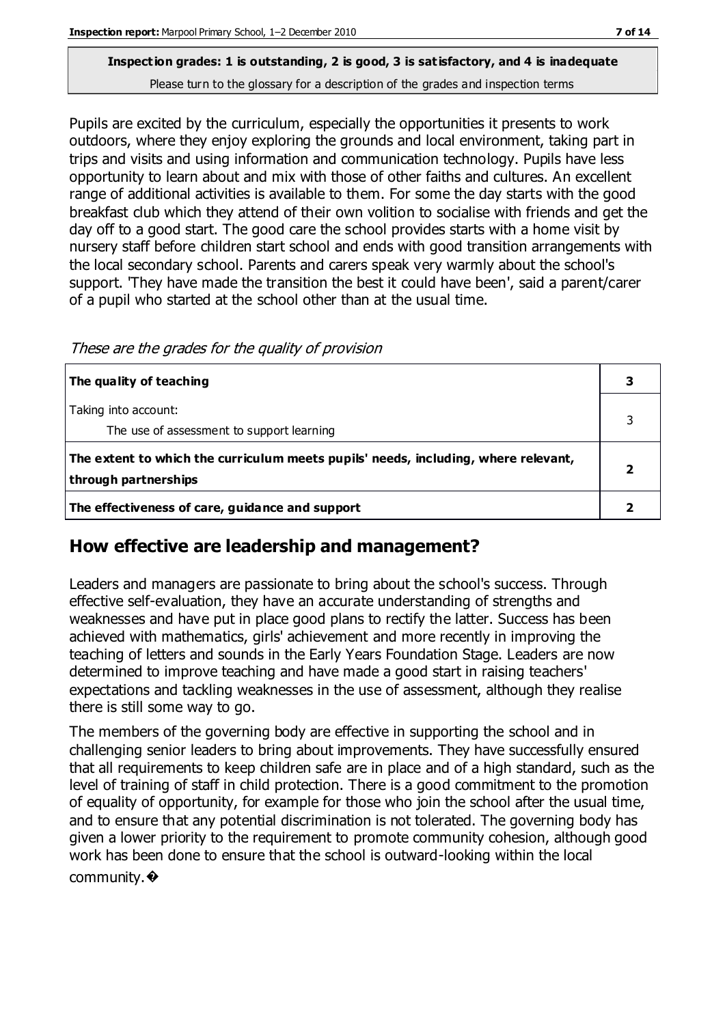Pupils are excited by the curriculum, especially the opportunities it presents to work

outdoors, where they enjoy exploring the grounds and local environment, taking part in trips and visits and using information and communication technology. Pupils have less opportunity to learn about and mix with those of other faiths and cultures. An excellent range of additional activities is available to them. For some the day starts with the good breakfast club which they attend of their own volition to socialise with friends and get the day off to a good start. The good care the school provides starts with a home visit by nursery staff before children start school and ends with good transition arrangements with the local secondary school. Parents and carers speak very warmly about the school's support. 'They have made the transition the best it could have been', said a parent/carer of a pupil who started at the school other than at the usual time.

These are the grades for the quality of provision

| The quality of teaching                                                                                    |  |
|------------------------------------------------------------------------------------------------------------|--|
| Taking into account:<br>The use of assessment to support learning                                          |  |
| The extent to which the curriculum meets pupils' needs, including, where relevant,<br>through partnerships |  |
| The effectiveness of care, guidance and support                                                            |  |

## **How effective are leadership and management?**

Leaders and managers are passionate to bring about the school's success. Through effective self-evaluation, they have an accurate understanding of strengths and weaknesses and have put in place good plans to rectify the latter. Success has been achieved with mathematics, girls' achievement and more recently in improving the teaching of letters and sounds in the Early Years Foundation Stage. Leaders are now determined to improve teaching and have made a good start in raising teachers' expectations and tackling weaknesses in the use of assessment, although they realise there is still some way to go.

The members of the governing body are effective in supporting the school and in challenging senior leaders to bring about improvements. They have successfully ensured that all requirements to keep children safe are in place and of a high standard, such as the level of training of staff in child protection. There is a good commitment to the promotion of equality of opportunity, for example for those who join the school after the usual time, and to ensure that any potential discrimination is not tolerated. The governing body has given a lower priority to the requirement to promote community cohesion, although good work has been done to ensure that the school is outward-looking within the local community.�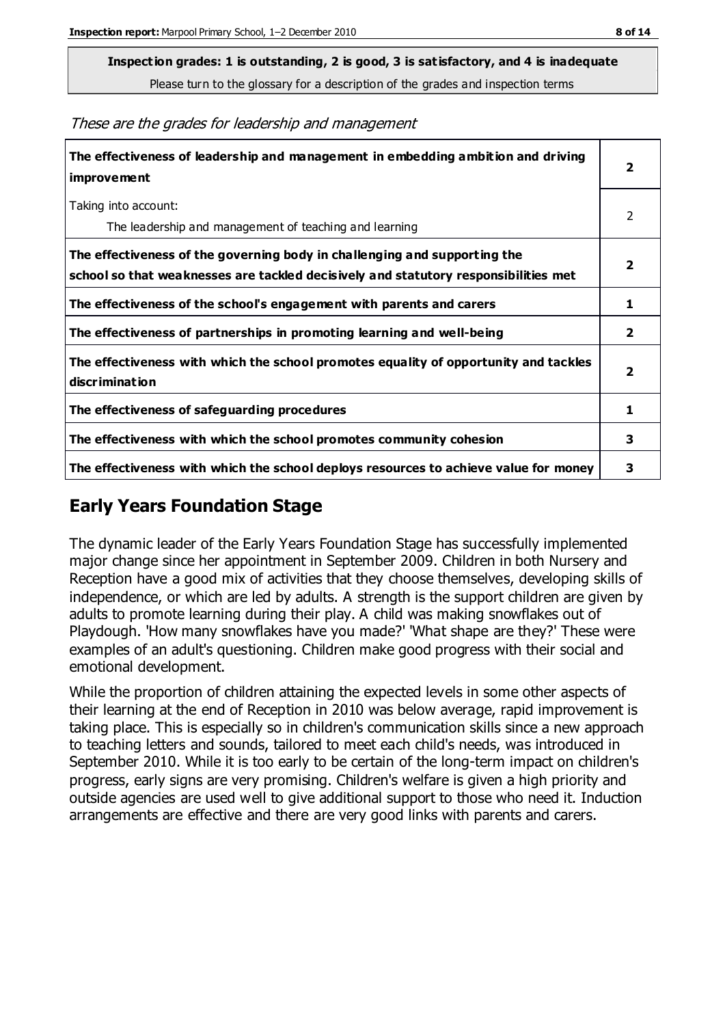**Inspection grades: 1 is outstanding, 2 is good, 3 is satisfactory, and 4 is inadequate**

Please turn to the glossary for a description of the grades and inspection terms

These are the grades for leadership and management

| The effectiveness of leadership and management in embedding ambition and driving<br><b>improvement</b>                                                           | 2                       |
|------------------------------------------------------------------------------------------------------------------------------------------------------------------|-------------------------|
| Taking into account:<br>The leadership and management of teaching and learning                                                                                   | 2                       |
| The effectiveness of the governing body in challenging and supporting the<br>school so that weaknesses are tackled decisively and statutory responsibilities met | $\overline{\mathbf{2}}$ |
| The effectiveness of the school's engagement with parents and carers                                                                                             | 1                       |
| The effectiveness of partnerships in promoting learning and well-being                                                                                           | $\overline{2}$          |
| The effectiveness with which the school promotes equality of opportunity and tackles<br><b>discrimination</b>                                                    | $\overline{\mathbf{2}}$ |
| The effectiveness of safeguarding procedures                                                                                                                     | 1                       |
| The effectiveness with which the school promotes community cohesion                                                                                              | 3                       |
| The effectiveness with which the school deploys resources to achieve value for money                                                                             | 3                       |

## **Early Years Foundation Stage**

The dynamic leader of the Early Years Foundation Stage has successfully implemented major change since her appointment in September 2009. Children in both Nursery and Reception have a good mix of activities that they choose themselves, developing skills of independence, or which are led by adults. A strength is the support children are given by adults to promote learning during their play. A child was making snowflakes out of Playdough. 'How many snowflakes have you made?' 'What shape are they?' These were examples of an adult's questioning. Children make good progress with their social and emotional development.

While the proportion of children attaining the expected levels in some other aspects of their learning at the end of Reception in 2010 was below average, rapid improvement is taking place. This is especially so in children's communication skills since a new approach to teaching letters and sounds, tailored to meet each child's needs, was introduced in September 2010. While it is too early to be certain of the long-term impact on children's progress, early signs are very promising. Children's welfare is given a high priority and outside agencies are used well to give additional support to those who need it. Induction arrangements are effective and there are very good links with parents and carers.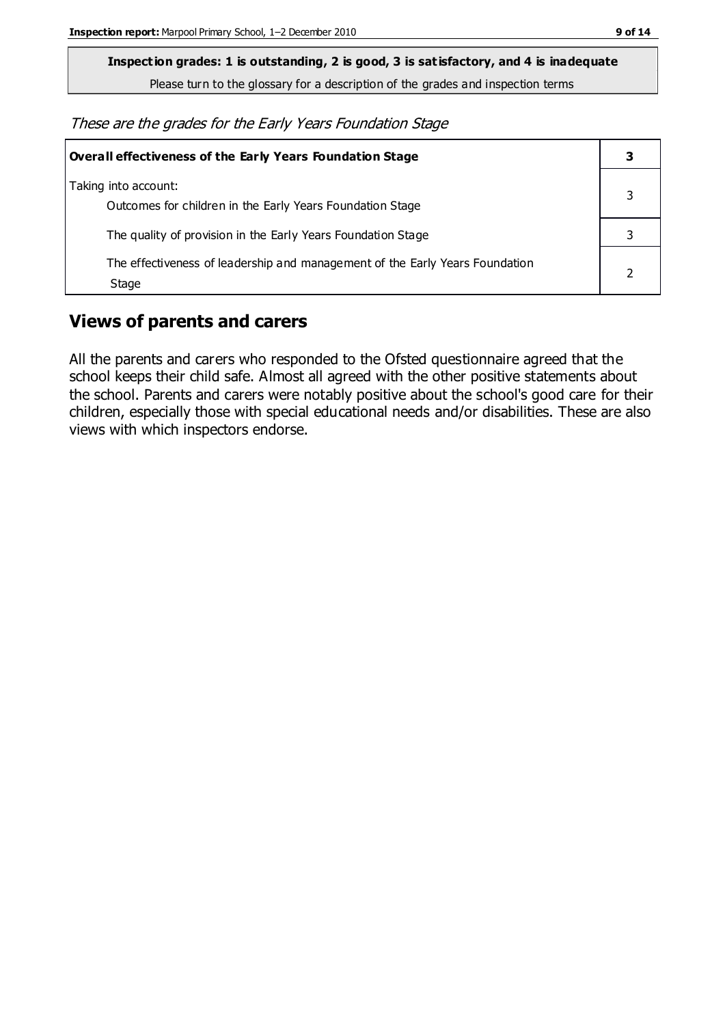**Inspection grades: 1 is outstanding, 2 is good, 3 is satisfactory, and 4 is inadequate**

Please turn to the glossary for a description of the grades and inspection terms

These are the grades for the Early Years Foundation Stage

| Overall effectiveness of the Early Years Foundation Stage                             |  |
|---------------------------------------------------------------------------------------|--|
| Taking into account:<br>Outcomes for children in the Early Years Foundation Stage     |  |
| The quality of provision in the Early Years Foundation Stage                          |  |
| The effectiveness of leadership and management of the Early Years Foundation<br>Stage |  |

## **Views of parents and carers**

All the parents and carers who responded to the Ofsted questionnaire agreed that the school keeps their child safe. Almost all agreed with the other positive statements about the school. Parents and carers were notably positive about the school's good care for their children, especially those with special educational needs and/or disabilities. These are also views with which inspectors endorse.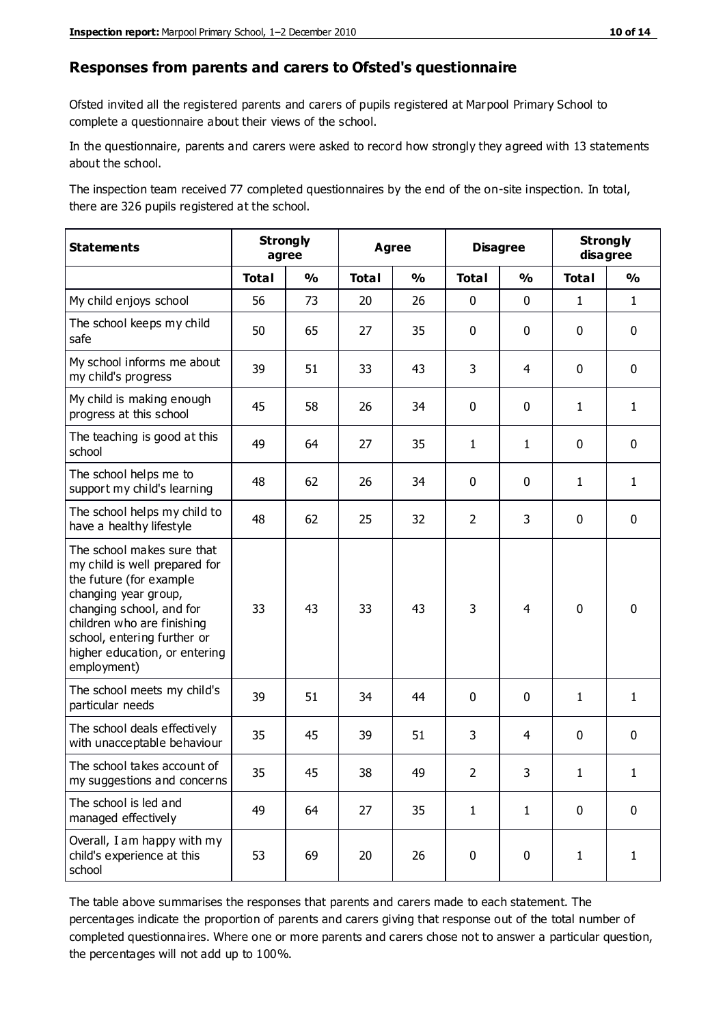#### **Responses from parents and carers to Ofsted's questionnaire**

Ofsted invited all the registered parents and carers of pupils registered at Marpool Primary School to complete a questionnaire about their views of the school.

In the questionnaire, parents and carers were asked to record how strongly they agreed with 13 statements about the school.

The inspection team received 77 completed questionnaires by the end of the on-site inspection. In total, there are 326 pupils registered at the school.

| <b>Statements</b>                                                                                                                                                                                                                                       | <b>Strongly</b><br><b>Agree</b><br>agree |               |              | <b>Disagree</b>         |                | <b>Strongly</b><br>disagree |              |               |
|---------------------------------------------------------------------------------------------------------------------------------------------------------------------------------------------------------------------------------------------------------|------------------------------------------|---------------|--------------|-------------------------|----------------|-----------------------------|--------------|---------------|
|                                                                                                                                                                                                                                                         | <b>Total</b>                             | $\frac{1}{2}$ | <b>Total</b> | $\mathbf{O}/\mathbf{O}$ | <b>Total</b>   | $\frac{1}{2}$               | <b>Total</b> | $\frac{1}{2}$ |
| My child enjoys school                                                                                                                                                                                                                                  | 56                                       | 73            | 20           | 26                      | 0              | $\mathbf 0$                 | $\mathbf{1}$ | $\mathbf{1}$  |
| The school keeps my child<br>safe                                                                                                                                                                                                                       | 50                                       | 65            | 27           | 35                      | 0              | $\mathbf 0$                 | $\mathbf 0$  | $\mathbf 0$   |
| My school informs me about<br>my child's progress                                                                                                                                                                                                       | 39                                       | 51            | 33           | 43                      | 3              | 4                           | $\mathbf 0$  | $\mathbf 0$   |
| My child is making enough<br>progress at this school                                                                                                                                                                                                    | 45                                       | 58            | 26           | 34                      | 0              | 0                           | $\mathbf{1}$ | $\mathbf{1}$  |
| The teaching is good at this<br>school                                                                                                                                                                                                                  | 49                                       | 64            | 27           | 35                      | 1              | $\mathbf{1}$                | $\mathbf 0$  | $\mathbf 0$   |
| The school helps me to<br>support my child's learning                                                                                                                                                                                                   | 48                                       | 62            | 26           | 34                      | 0              | $\mathbf 0$                 | 1            | $\mathbf{1}$  |
| The school helps my child to<br>have a healthy lifestyle                                                                                                                                                                                                | 48                                       | 62            | 25           | 32                      | $\overline{2}$ | 3                           | $\mathbf 0$  | $\mathbf 0$   |
| The school makes sure that<br>my child is well prepared for<br>the future (for example<br>changing year group,<br>changing school, and for<br>children who are finishing<br>school, entering further or<br>higher education, or entering<br>employment) | 33                                       | 43            | 33           | 43                      | 3              | 4                           | $\mathbf 0$  | $\mathbf 0$   |
| The school meets my child's<br>particular needs                                                                                                                                                                                                         | 39                                       | 51            | 34           | 44                      | 0              | $\mathbf 0$                 | $\mathbf{1}$ | $\mathbf{1}$  |
| The school deals effectively<br>with unacceptable behaviour                                                                                                                                                                                             | 35                                       | 45            | 39           | 51                      | 3              | $\overline{4}$              | 0            | $\pmb{0}$     |
| The school takes account of<br>my suggestions and concerns                                                                                                                                                                                              | 35                                       | 45            | 38           | 49                      | $\mathcal{P}$  | 3                           | 1            | 1             |
| The school is led and<br>managed effectively                                                                                                                                                                                                            | 49                                       | 64            | 27           | 35                      | $\mathbf{1}$   | $\mathbf{1}$                | $\mathbf 0$  | $\mathbf 0$   |
| Overall, I am happy with my<br>child's experience at this<br>school                                                                                                                                                                                     | 53                                       | 69            | 20           | 26                      | 0              | 0                           | $\mathbf{1}$ | $\mathbf{1}$  |

The table above summarises the responses that parents and carers made to each statement. The percentages indicate the proportion of parents and carers giving that response out of the total number of completed questionnaires. Where one or more parents and carers chose not to answer a particular question, the percentages will not add up to 100%.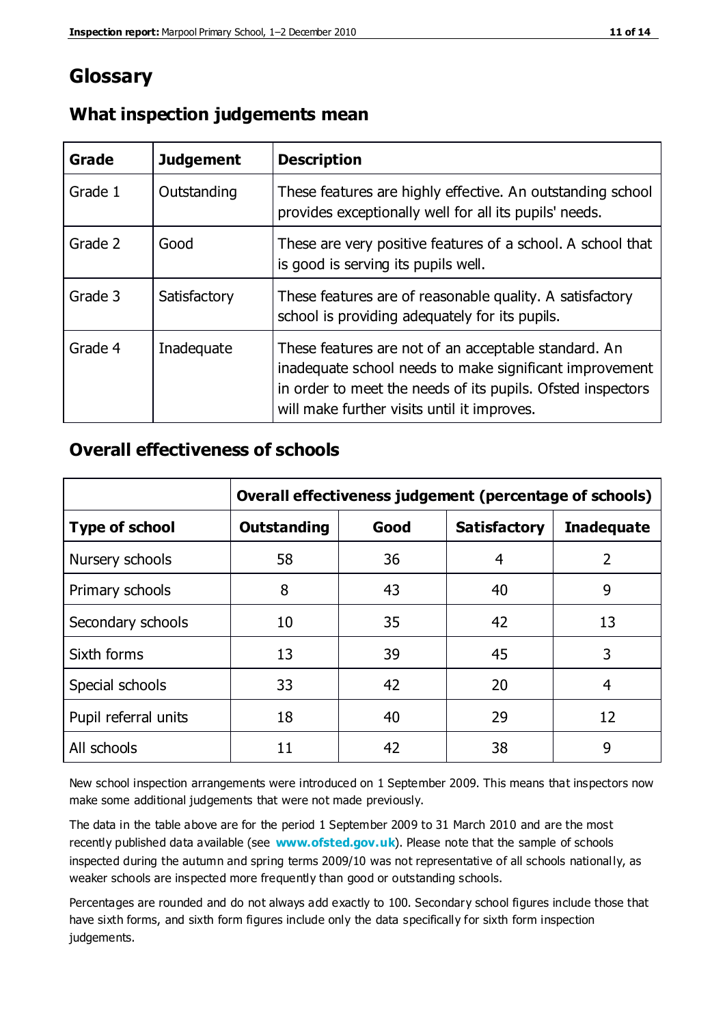## **Glossary**

| Grade   | <b>Judgement</b> | <b>Description</b>                                                                                                                                                                                                            |
|---------|------------------|-------------------------------------------------------------------------------------------------------------------------------------------------------------------------------------------------------------------------------|
| Grade 1 | Outstanding      | These features are highly effective. An outstanding school<br>provides exceptionally well for all its pupils' needs.                                                                                                          |
| Grade 2 | Good             | These are very positive features of a school. A school that<br>is good is serving its pupils well.                                                                                                                            |
| Grade 3 | Satisfactory     | These features are of reasonable quality. A satisfactory<br>school is providing adequately for its pupils.                                                                                                                    |
| Grade 4 | Inadequate       | These features are not of an acceptable standard. An<br>inadequate school needs to make significant improvement<br>in order to meet the needs of its pupils. Ofsted inspectors<br>will make further visits until it improves. |

#### **What inspection judgements mean**

#### **Overall effectiveness of schools**

|                       | Overall effectiveness judgement (percentage of schools) |      |                     |                   |
|-----------------------|---------------------------------------------------------|------|---------------------|-------------------|
| <b>Type of school</b> | <b>Outstanding</b>                                      | Good | <b>Satisfactory</b> | <b>Inadequate</b> |
| Nursery schools       | 58                                                      | 36   | 4                   | 2                 |
| Primary schools       | 8                                                       | 43   | 40                  | 9                 |
| Secondary schools     | 10                                                      | 35   | 42                  | 13                |
| Sixth forms           | 13                                                      | 39   | 45                  | 3                 |
| Special schools       | 33                                                      | 42   | 20                  | 4                 |
| Pupil referral units  | 18                                                      | 40   | 29                  | 12                |
| All schools           | 11                                                      | 42   | 38                  | 9                 |

New school inspection arrangements were introduced on 1 September 2009. This means that inspectors now make some additional judgements that were not made previously.

The data in the table above are for the period 1 September 2009 to 31 March 2010 and are the most recently published data available (see **[www.ofsted.gov.uk](http://www.ofsted.gov.uk/)**). Please note that the sample of schools inspected during the autumn and spring terms 2009/10 was not representative of all schools nationally, as weaker schools are inspected more frequently than good or outstanding schools.

Percentages are rounded and do not always add exactly to 100. Secondary school figures include those that have sixth forms, and sixth form figures include only the data specifically for sixth form inspection judgements.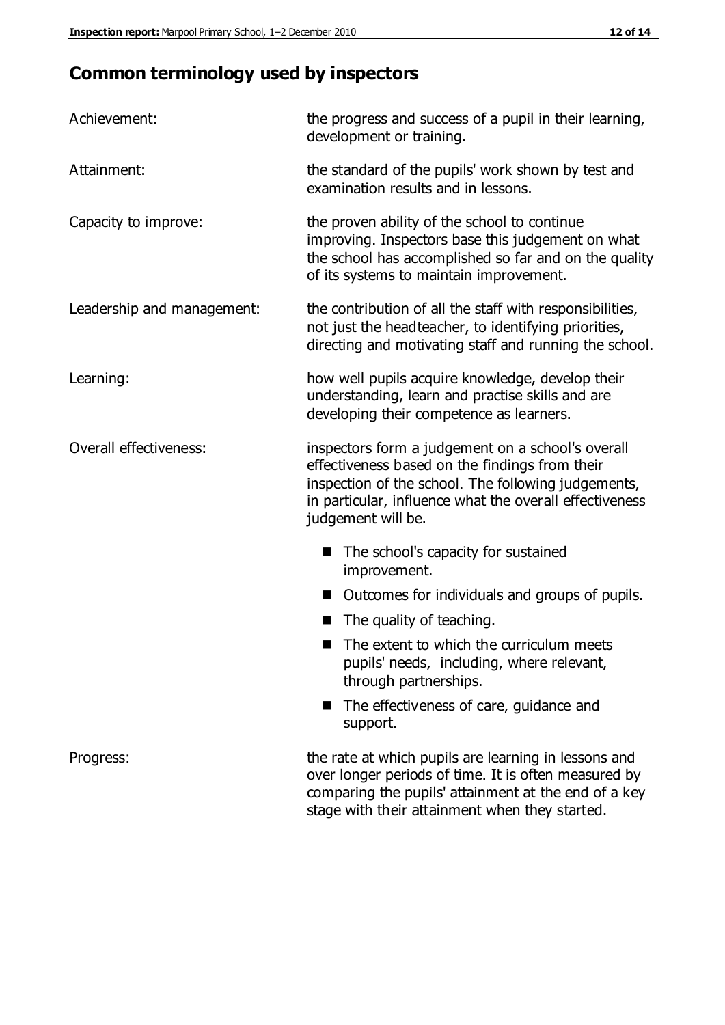# **Common terminology used by inspectors**

| Achievement:                  | the progress and success of a pupil in their learning,<br>development or training.                                                                                                                                                          |  |  |
|-------------------------------|---------------------------------------------------------------------------------------------------------------------------------------------------------------------------------------------------------------------------------------------|--|--|
| Attainment:                   | the standard of the pupils' work shown by test and<br>examination results and in lessons.                                                                                                                                                   |  |  |
| Capacity to improve:          | the proven ability of the school to continue<br>improving. Inspectors base this judgement on what<br>the school has accomplished so far and on the quality<br>of its systems to maintain improvement.                                       |  |  |
| Leadership and management:    | the contribution of all the staff with responsibilities,<br>not just the headteacher, to identifying priorities,<br>directing and motivating staff and running the school.                                                                  |  |  |
| Learning:                     | how well pupils acquire knowledge, develop their<br>understanding, learn and practise skills and are<br>developing their competence as learners.                                                                                            |  |  |
| <b>Overall effectiveness:</b> | inspectors form a judgement on a school's overall<br>effectiveness based on the findings from their<br>inspection of the school. The following judgements,<br>in particular, influence what the overall effectiveness<br>judgement will be. |  |  |
|                               | The school's capacity for sustained<br>improvement.                                                                                                                                                                                         |  |  |
|                               | Outcomes for individuals and groups of pupils.                                                                                                                                                                                              |  |  |
|                               | The quality of teaching.                                                                                                                                                                                                                    |  |  |
|                               | The extent to which the curriculum meets<br>pupils' needs, including, where relevant,<br>through partnerships.                                                                                                                              |  |  |
|                               | The effectiveness of care, guidance and<br>support.                                                                                                                                                                                         |  |  |
| Progress:                     | the rate at which pupils are learning in lessons and<br>over longer periods of time. It is often measured by<br>comparing the pupils' attainment at the end of a key                                                                        |  |  |

stage with their attainment when they started.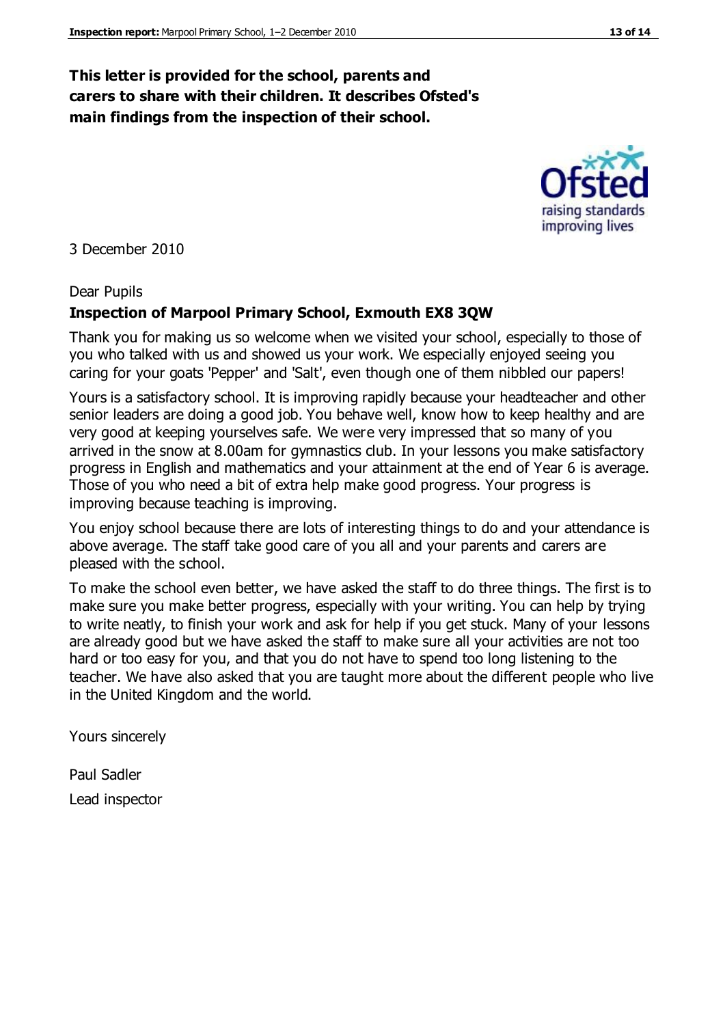#### **This letter is provided for the school, parents and carers to share with their children. It describes Ofsted's main findings from the inspection of their school.**

3 December 2010

#### Dear Pupils

#### **Inspection of Marpool Primary School, Exmouth EX8 3QW**

Thank you for making us so welcome when we visited your school, especially to those of you who talked with us and showed us your work. We especially enjoyed seeing you caring for your goats 'Pepper' and 'Salt', even though one of them nibbled our papers!

Yours is a satisfactory school. It is improving rapidly because your headteacher and other senior leaders are doing a good job. You behave well, know how to keep healthy and are very good at keeping yourselves safe. We were very impressed that so many of you arrived in the snow at 8.00am for gymnastics club. In your lessons you make satisfactory progress in English and mathematics and your attainment at the end of Year 6 is average. Those of you who need a bit of extra help make good progress. Your progress is improving because teaching is improving.

You enjoy school because there are lots of interesting things to do and your attendance is above average. The staff take good care of you all and your parents and carers are pleased with the school.

To make the school even better, we have asked the staff to do three things. The first is to make sure you make better progress, especially with your writing. You can help by trying to write neatly, to finish your work and ask for help if you get stuck. Many of your lessons are already good but we have asked the staff to make sure all your activities are not too hard or too easy for you, and that you do not have to spend too long listening to the teacher. We have also asked that you are taught more about the different people who live in the United Kingdom and the world.

Yours sincerely

Paul Sadler Lead inspector